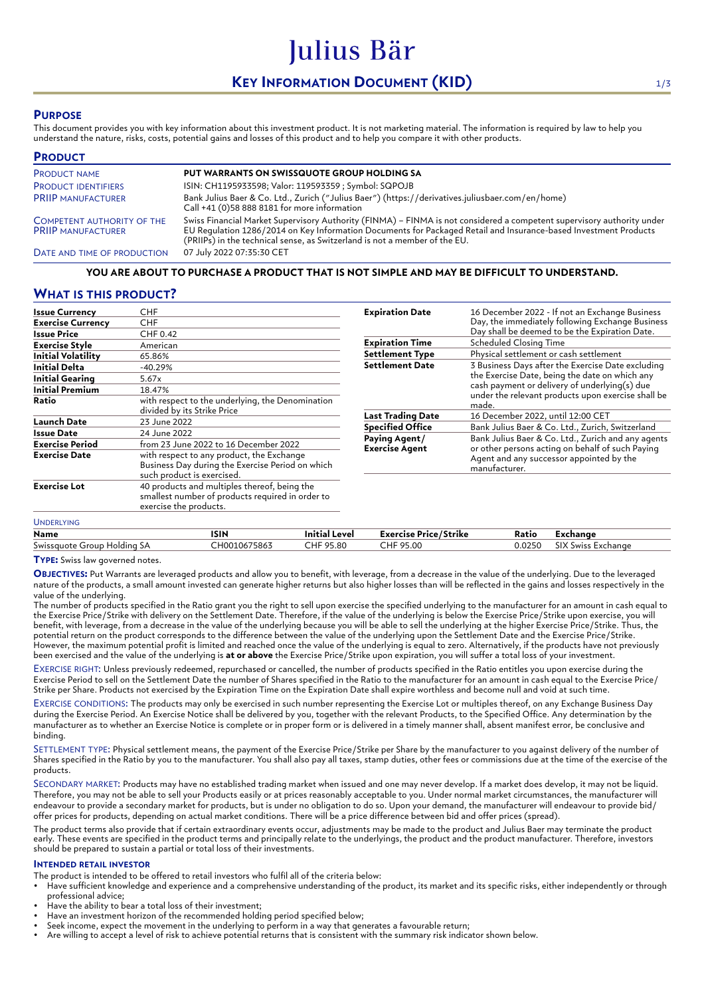# **KEY INFORMATION DOCUMENT (KID)** 1/3

Julius Bär

## **PURPOSE**

This document provides you with key information about this investment product. It is not marketing material. The information is required by law to help you understand the nature, risks, costs, potential gains and losses of this product and to help you compare it with other products.

| <b>PRODUCT</b>                                                 |                                                                                                                                                                                                                                                                                                                          |
|----------------------------------------------------------------|--------------------------------------------------------------------------------------------------------------------------------------------------------------------------------------------------------------------------------------------------------------------------------------------------------------------------|
| <b>PRODUCT NAME</b>                                            | PUT WARRANTS ON SWISSQUOTE GROUP HOLDING SA                                                                                                                                                                                                                                                                              |
| <b>PRODUCT IDENTIFIERS</b>                                     | ISIN: CH1195933598; Valor: 119593359 ; Symbol: SQPOJB                                                                                                                                                                                                                                                                    |
| <b>PRIIP MANUFACTURER</b>                                      | Bank Julius Baer & Co. Ltd., Zurich ("Julius Baer") (https://derivatives.juliusbaer.com/en/home)<br>Call +41 (0)58 888 8181 for more information                                                                                                                                                                         |
| <b>COMPETENT AUTHORITY OF THE</b><br><b>PRIIP MANUFACTURER</b> | Swiss Financial Market Supervisory Authority (FINMA) - FINMA is not considered a competent supervisory authority under<br>EU Regulation 1286/2014 on Key Information Documents for Packaged Retail and Insurance-based Investment Products<br>(PRIIPs) in the technical sense, as Switzerland is not a member of the EU. |
| DATE AND TIME OF PRODUCTION                                    | 07 July 2022 07:35:30 CET                                                                                                                                                                                                                                                                                                |

## **YOU ARE ABOUT TO PURCHASE A PRODUCT THAT IS NOT SIMPLE AND MAY BE DIFFICULT TO UNDERSTAND.**

# **WHAT IS THIS PRODUCT?**

| <b>Issue Currency</b>     | CHF                                                                                                                         |  |
|---------------------------|-----------------------------------------------------------------------------------------------------------------------------|--|
| <b>Exercise Currency</b>  | CHF                                                                                                                         |  |
| Issue Price               | CHF 0.42                                                                                                                    |  |
| Exercise Style            | American                                                                                                                    |  |
| <b>Initial Volatility</b> | 65.86%                                                                                                                      |  |
| Initial Delta             | $-40.29%$                                                                                                                   |  |
| <b>Initial Gearing</b>    | 5.67x                                                                                                                       |  |
| <b>Initial Premium</b>    | 18.47%                                                                                                                      |  |
| Ratio                     | with respect to the underlying, the Denomination<br>divided by its Strike Price                                             |  |
| Launch Date               | 23 June 2022                                                                                                                |  |
| <b>Issue Date</b>         | 24 June 2022                                                                                                                |  |
| Exercise Period           | from 23 June 2022 to 16 December 2022                                                                                       |  |
| <b>Exercise Date</b>      | with respect to any product, the Exchange<br>Business Day during the Exercise Period on which<br>such product is exercised. |  |
| <b>Exercise Lot</b>       | 40 products and multiples thereof, being the<br>smallest number of products required in order to<br>exercise the products.  |  |

| <b>Expiration Date</b>                 | 16 December 2022 - If not an Exchange Business<br>Day, the immediately following Exchange Business<br>Day shall be deemed to be the Expiration Date.                                                                |  |  |
|----------------------------------------|---------------------------------------------------------------------------------------------------------------------------------------------------------------------------------------------------------------------|--|--|
| <b>Expiration Time</b>                 | <b>Scheduled Closing Time</b>                                                                                                                                                                                       |  |  |
| <b>Settlement Type</b>                 | Physical settlement or cash settlement                                                                                                                                                                              |  |  |
| <b>Settlement Date</b>                 | 3 Business Days after the Exercise Date excluding<br>the Exercise Date, being the date on which any<br>cash payment or delivery of underlying(s) due<br>under the relevant products upon exercise shall be<br>made. |  |  |
| <b>Last Trading Date</b>               | 16 December 2022, until 12:00 CET                                                                                                                                                                                   |  |  |
| <b>Specified Office</b>                | Bank Julius Baer & Co. Ltd., Zurich, Switzerland                                                                                                                                                                    |  |  |
| Paying Agent/<br><b>Exercise Agent</b> | Bank Julius Baer & Co. Ltd., Zurich and any agents<br>or other persons acting on behalf of such Paying<br>Agent and any successor appointed by the<br>manufacturer.                                                 |  |  |

# **Name ISIN Initial Level Exercise Price/Strike Ratio Exchange** Swissquote Group Holding SA CH0010675863 CHF 95.80 CHF 95.00 0.0250 SIX Swiss Exchange

**TYPE:** Swiss law governed notes.

UNDERLYING

**OBJECTIVES:** Put Warrants are leveraged products and allow you to benefit, with leverage, from a decrease in the value of the underlying. Due to the leveraged nature of the products, a small amount invested can generate higher returns but also higher losses than will be reflected in the gains and losses respectively in the value of the underlying.

The number of products specified in the Ratio grant you the right to sell upon exercise the specified underlying to the manufacturer for an amount in cash equal to the Exercise Price/Strike with delivery on the Settlement Date. Therefore, if the value of the underlying is below the Exercise Price/Strike upon exercise, you will benefit, with leverage, from a decrease in the value of the underlying because you will be able to sell the underlying at the higher Exercise Price/Strike. Thus, the potential return on the product corresponds to the difference between the value of the underlying upon the Settlement Date and the Exercise Price/Strike. However, the maximum potential profit is limited and reached once the value of the underlying is equal to zero. Alternatively, if the products have not previously been exercised and the value of the underlying is **at or above** the Exercise Price/Strike upon expiration, you will suffer a total loss of your investment.

EXERCISE RIGHT: Unless previously redeemed, repurchased or cancelled, the number of products specified in the Ratio entitles you upon exercise during the Exercise Period to sell on the Settlement Date the number of Shares specified in the Ratio to the manufacturer for an amount in cash equal to the Exercise Price/ Strike per Share. Products not exercised by the Expiration Time on the Expiration Date shall expire worthless and become null and void at such time.

EXERCISE CONDITIONS: The products may only be exercised in such number representing the Exercise Lot or multiples thereof, on any Exchange Business Day during the Exercise Period. An Exercise Notice shall be delivered by you, together with the relevant Products, to the Specified Office. Any determination by the manufacturer as to whether an Exercise Notice is complete or in proper form or is delivered in a timely manner shall, absent manifest error, be conclusive and binding.

SETTLEMENT TYPE: Physical settlement means, the payment of the Exercise Price/Strike per Share by the manufacturer to you against delivery of the number of Shares specified in the Ratio by you to the manufacturer. You shall also pay all taxes, stamp duties, other fees or commissions due at the time of the exercise of the products.

SECONDARY MARKET: Products may have no established trading market when issued and one may never develop. If a market does develop, it may not be liquid. Therefore, you may not be able to sell your Products easily or at prices reasonably acceptable to you. Under normal market circumstances, the manufacturer will endeavour to provide a secondary market for products, but is under no obligation to do so. Upon your demand, the manufacturer will endeavour to provide bid/ offer prices for products, depending on actual market conditions. There will be a price difference between bid and offer prices (spread).

The product terms also provide that if certain extraordinary events occur, adjustments may be made to the product and Julius Baer may terminate the product early. These events are specified in the product terms and principally relate to the underlyings, the product and the product manufacturer. Therefore, investors should be prepared to sustain a partial or total loss of their investments.

## **INTENDED RETAIL INVESTOR**

The product is intended to be offered to retail investors who fulfil all of the criteria below:

- Have sufficient knowledge and experience and a comprehensive understanding of the product, its market and its specific risks, either independently or through professional advice;
- Have the ability to bear a total loss of their investment;
- Have an investment horizon of the recommended holding period specified below;
- Seek income, expect the movement in the underlying to perform in a way that generates a favourable return;
- Are willing to accept a level of risk to achieve potential returns that is consistent with the summary risk indicator shown below.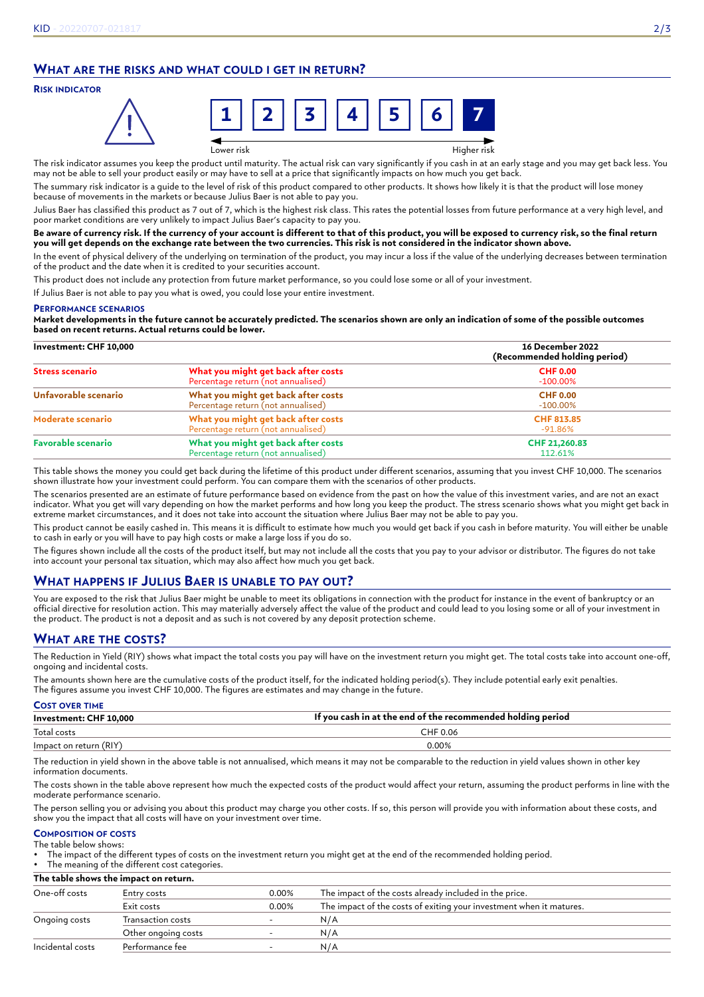# **WHAT ARE THE RISKS AND WHAT COULD I GET IN RETURN?**

## **RISK INDICATOR**



Lower risk Higher risk

The risk indicator assumes you keep the product until maturity. The actual risk can vary significantly if you cash in at an early stage and you may get back less. You may not be able to sell your product easily or may have to sell at a price that significantly impacts on how much you get back.

The summary risk indicator is a guide to the level of risk of this product compared to other products. It shows how likely it is that the product will lose money because of movements in the markets or because Julius Baer is not able to pay you.

Julius Baer has classified this product as 7 out of 7, which is the highest risk class. This rates the potential losses from future performance at a very high level, and poor market conditions are very unlikely to impact Julius Baer's capacity to pay you.

#### **Be aware of currency risk. If the currency of your account is different to that of this product, you will be exposed to currency risk, so the final return you will get depends on the exchange rate between the two currencies. This risk is not considered in the indicator shown above.**

In the event of physical delivery of the underlying on termination of the product, you may incur a loss if the value of the underlying decreases between termination of the product and the date when it is credited to your securities account.

This product does not include any protection from future market performance, so you could lose some or all of your investment.

If Julius Baer is not able to pay you what is owed, you could lose your entire investment.

#### **PERFORMANCE SCENARIOS**

**Market developments in the future cannot be accurately predicted. The scenarios shown are only an indication of some of the possible outcomes based on recent returns. Actual returns could be lower.**

| Investment: CHF 10,000                                                                                 |                                                                           | 16 December 2022<br>(Recommended holding period) |
|--------------------------------------------------------------------------------------------------------|---------------------------------------------------------------------------|--------------------------------------------------|
| <b>Stress scenario</b>                                                                                 | What you might get back after costs<br>Percentage return (not annualised) | <b>CHF 0.00</b><br>$-100.00\%$                   |
| Unfavorable scenario                                                                                   | What you might get back after costs<br>Percentage return (not annualised) | <b>CHF 0.00</b><br>$-100.00\%$                   |
| Moderate scenario                                                                                      | What you might get back after costs<br>Percentage return (not annualised) | CHF 813.85<br>-91.86%                            |
| What you might get back after costs<br><b>Favorable scenario</b><br>Percentage return (not annualised) |                                                                           | CHF 21,260.83<br>112.61%                         |

This table shows the money you could get back during the lifetime of this product under different scenarios, assuming that you invest CHF 10,000. The scenarios shown illustrate how your investment could perform. You can compare them with the scenarios of other products.

The scenarios presented are an estimate of future performance based on evidence from the past on how the value of this investment varies, and are not an exact indicator. What you get will vary depending on how the market performs and how long you keep the product. The stress scenario shows what you might get back in extreme market circumstances, and it does not take into account the situation where Julius Baer may not be able to pay you.

This product cannot be easily cashed in. This means it is difficult to estimate how much you would get back if you cash in before maturity. You will either be unable to cash in early or you will have to pay high costs or make a large loss if you do so.

The figures shown include all the costs of the product itself, but may not include all the costs that you pay to your advisor or distributor. The figures do not take into account your personal tax situation, which may also affect how much you get back.

# **WHAT HAPPENS IF JULIUS BAER IS UNABLE TO PAY OUT?**

You are exposed to the risk that Julius Baer might be unable to meet its obligations in connection with the product for instance in the event of bankruptcy or an official directive for resolution action. This may materially adversely affect the value of the product and could lead to you losing some or all of your investment in the product. The product is not a deposit and as such is not covered by any deposit protection scheme.

# **WHAT ARE THE COSTS?**

The Reduction in Yield (RIY) shows what impact the total costs you pay will have on the investment return you might get. The total costs take into account one-off, ongoing and incidental costs.

The amounts shown here are the cumulative costs of the product itself, for the indicated holding period(s). They include potential early exit penalties. The figures assume you invest CHF 10,000. The figures are estimates and may change in the future.

| <b>COST OVER TIME</b>  |                                                             |  |
|------------------------|-------------------------------------------------------------|--|
| Investment: CHF 10,000 | If you cash in at the end of the recommended holding period |  |
| Total costs            | CHF 0.06                                                    |  |
| Impact on return (RIY) | 0.00%                                                       |  |

The reduction in yield shown in the above table is not annualised, which means it may not be comparable to the reduction in yield values shown in other key information documents.

The costs shown in the table above represent how much the expected costs of the product would affect your return, assuming the product performs in line with the moderate performance scenario.

The person selling you or advising you about this product may charge you other costs. If so, this person will provide you with information about these costs, and show you the impact that all costs will have on your investment over time.

#### **COMPOSITION OF COSTS** The table below shows:

• The impact of the different types of costs on the investment return you might get at the end of the recommended holding period.

The meaning of the different cost categories.

**The table shows the impact on return.**

| One-off costs    | Entry costs         | 0.00% | The impact of the costs already included in the price.              |
|------------------|---------------------|-------|---------------------------------------------------------------------|
|                  | Exit costs          | 0.00% | The impact of the costs of exiting your investment when it matures. |
| Ongoing costs    | Transaction costs   |       | N/A                                                                 |
|                  | Other ongoing costs |       | N/A                                                                 |
| Incidental costs | Performance fee     |       | N/A                                                                 |